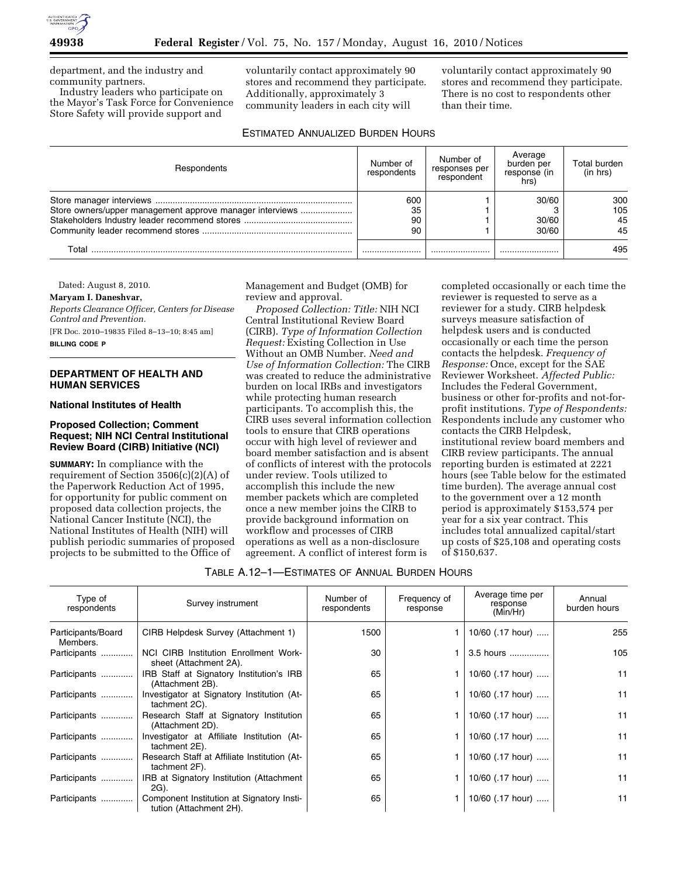

department, and the industry and community partners.

Industry leaders who participate on the Mayor's Task Force for Convenience Store Safety will provide support and

voluntarily contact approximately 90 stores and recommend they participate. Additionally, approximately 3 community leaders in each city will

voluntarily contact approximately 90 stores and recommend they participate. There is no cost to respondents other than their time.

# ESTIMATED ANNUALIZED BURDEN HOURS

| <b>Respondents</b>                                       | Number of<br>respondents | Number of<br>responses per<br>respondent | Average<br>burden per<br>response (in<br>hrs) | Total burden<br>(in hrs) |
|----------------------------------------------------------|--------------------------|------------------------------------------|-----------------------------------------------|--------------------------|
| Store owners/upper management approve manager interviews | 600<br>35<br>90<br>90    |                                          | 30/60<br>30/60<br>30/60                       | 300<br>105<br>45<br>45   |
| Total                                                    |                          |                                          |                                               | 495                      |

Dated: August 8, 2010.

### **Maryam I. Daneshvar,**

*Reports Clearance Officer, Centers for Disease Control and Prevention.* 

[FR Doc. 2010–19835 Filed 8–13–10; 8:45 am] **BILLING CODE P** 

### **DEPARTMENT OF HEALTH AND HUMAN SERVICES**

#### **National Institutes of Health**

### **Proposed Collection; Comment Request; NIH NCI Central Institutional Review Board (CIRB) Initiative (NCI)**

**SUMMARY:** In compliance with the requirement of Section 3506(c)(2)(A) of the Paperwork Reduction Act of 1995, for opportunity for public comment on proposed data collection projects, the National Cancer Institute (NCI), the National Institutes of Health (NIH) will publish periodic summaries of proposed projects to be submitted to the Office of

Management and Budget (OMB) for review and approval.

*Proposed Collection: Title:* NIH NCI Central Institutional Review Board (CIRB). *Type of Information Collection Request:* Existing Collection in Use Without an OMB Number. *Need and Use of Information Collection:* The CIRB was created to reduce the administrative burden on local IRBs and investigators while protecting human research participants. To accomplish this, the CIRB uses several information collection tools to ensure that CIRB operations occur with high level of reviewer and board member satisfaction and is absent of conflicts of interest with the protocols under review. Tools utilized to accomplish this include the new member packets which are completed once a new member joins the CIRB to provide background information on workflow and processes of CIRB operations as well as a non-disclosure agreement. A conflict of interest form is

completed occasionally or each time the reviewer is requested to serve as a reviewer for a study. CIRB helpdesk surveys measure satisfaction of helpdesk users and is conducted occasionally or each time the person contacts the helpdesk. *Frequency of Response:* Once, except for the SAE Reviewer Worksheet. *Affected Public:*  Includes the Federal Government, business or other for-profits and not-forprofit institutions. *Type of Respondents:*  Respondents include any customer who contacts the CIRB Helpdesk, institutional review board members and CIRB review participants. The annual reporting burden is estimated at 2221 hours (see Table below for the estimated time burden). The average annual cost to the government over a 12 month period is approximately \$153,574 per year for a six year contract. This includes total annualized capital/start up costs of \$25,108 and operating costs of \$150,637.

| Type of<br>respondents         | Survey instrument                                                    | Number of<br>respondents | Frequency of<br>response | Average time per<br>response<br>(Min/Hr) | Annual<br>burden hours |
|--------------------------------|----------------------------------------------------------------------|--------------------------|--------------------------|------------------------------------------|------------------------|
| Participants/Board<br>Members. | CIRB Helpdesk Survey (Attachment 1)                                  | 1500                     |                          | 10/60 $(.17 \text{ hour})$               | 255                    |
| Participants                   | NCI CIRB Institution Enrollment Work-<br>sheet (Attachment 2A).      | 30                       |                          | 3.5 hours                                | 105                    |
| Participants                   | IRB Staff at Signatory Institution's IRB<br>(Attachment 2B).         | 65                       |                          | 10/60 (.17 hour)                         | 11                     |
| Participants                   | Investigator at Signatory Institution (At-<br>tachment 2C).          | 65                       |                          | 10/60 (.17 hour)                         | 11                     |
| Participants                   | Research Staff at Signatory Institution<br>(Attachment 2D).          | 65                       |                          | 10/60 (.17 hour)                         | 11                     |
| Participants                   | Investigator at Affiliate Institution (At-<br>tachment 2E).          | 65                       |                          | 10/60 (.17 hour)                         | 11                     |
| Participants                   | Research Staff at Affiliate Institution (At-<br>tachment 2F).        | 65                       |                          | 10/60 (.17 hour)                         | 11                     |
| Participants                   | IRB at Signatory Institution (Attachment<br>2G).                     | 65                       |                          | 10/60 (.17 hour)                         | 11                     |
| Participants                   | Component Institution at Signatory Insti-<br>tution (Attachment 2H). | 65                       |                          | 10/60 (.17 hour)                         | 11                     |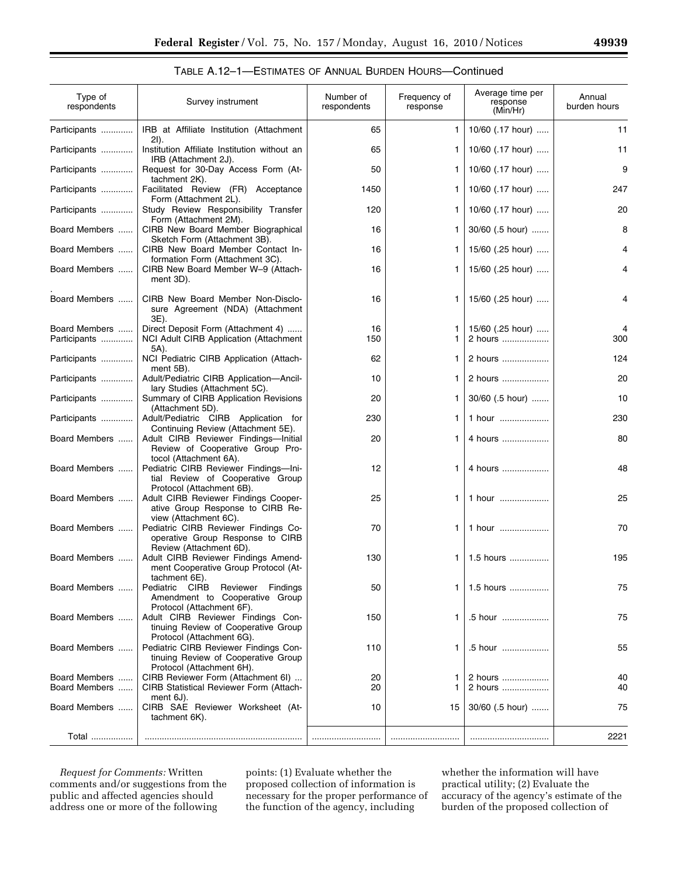# TABLE A.12–1—ESTIMATES OF ANNUAL BURDEN HOURS—Continued

| Type of<br>respondents        | Survey instrument                                                                                         | Number of<br>respondents | Frequency of<br>response | Average time per<br>response<br>(Min/Hr) | Annual<br>burden hours |
|-------------------------------|-----------------------------------------------------------------------------------------------------------|--------------------------|--------------------------|------------------------------------------|------------------------|
| Participants                  | IRB at Affiliate Institution (Attachment<br>$2I$ ).                                                       | 65                       | 1                        | 10/60 (.17 hour)                         | 11                     |
| Participants                  | Institution Affiliate Institution without an<br>IRB (Attachment 2J).                                      | 65                       | 1                        | 10/60 (.17 hour)                         | 11                     |
| Participants                  | Request for 30-Day Access Form (At-<br>tachment 2K).                                                      | 50                       | 1                        | 10/60 $(.17 \text{ hour})$               | 9                      |
| Participants                  | Facilitated Review (FR) Acceptance<br>Form (Attachment 2L).                                               | 1450                     | 1                        | 10/60 $(.17 \text{ hour})$               | 247                    |
| Participants                  | Study Review Responsibility Transfer<br>Form (Attachment 2M).                                             | 120                      | 1                        | 10/60 (.17 hour)                         | 20                     |
| Board Members                 | CIRB New Board Member Biographical<br>Sketch Form (Attachment 3B).                                        | 16                       | 1                        | $30/60$ (.5 hour)                        | 8                      |
| Board Members                 | CIRB New Board Member Contact In-<br>formation Form (Attachment 3C).                                      | 16                       | 1                        | 15/60 $(.25 \text{ hour})$               | 4                      |
| Board Members                 | CIRB New Board Member W-9 (Attach-<br>ment 3D).                                                           | 16                       | 1                        | 15/60 $(.25 \text{ hour})$               | 4                      |
| Board Members                 | CIRB New Board Member Non-Disclo-<br>sure Agreement (NDA) (Attachment<br>3E).                             | 16                       | 1.                       | 15/60 (.25 hour)                         | 4                      |
| Board Members<br>Participants | Direct Deposit Form (Attachment 4)<br>NCI Adult CIRB Application (Attachment                              | 16<br>150                | 1<br>1.                  | 15/60 (.25 hour)<br>2 hours              | 4<br>300               |
| Participants                  | 5A).<br>NCI Pediatric CIRB Application (Attach-                                                           | 62                       | 1                        | 2 hours                                  | 124                    |
| Participants                  | ment 5B).<br>Adult/Pediatric CIRB Application-Ancil-                                                      | 10                       | 1.                       | 2 hours                                  | 20                     |
| Participants                  | lary Studies (Attachment 5C).<br>Summary of CIRB Application Revisions                                    | 20                       | 1.                       | 30/60 (.5 hour)                          | 10                     |
| Participants                  | (Attachment 5D).<br>Adult/Pediatric CIRB Application for                                                  | 230                      | 1                        | 1 hour                                   | 230                    |
| Board Members                 | Continuing Review (Attachment 5E).<br>Adult CIRB Reviewer Findings-Initial                                | 20                       | 1.                       | 4 hours                                  | 80                     |
|                               | Review of Cooperative Group Pro-<br>tocol (Attachment 6A).                                                |                          |                          |                                          |                        |
| Board Members                 | Pediatric CIRB Reviewer Findings-Ini-<br>tial Review of Cooperative Group<br>Protocol (Attachment 6B).    | 12                       | 1.                       | 4 hours                                  | 48                     |
| Board Members                 | Adult CIRB Reviewer Findings Cooper-<br>ative Group Response to CIRB Re-<br>view (Attachment 6C).         | 25                       | 1.                       | 1 hour                                   | 25                     |
| Board Members                 | Pediatric CIRB Reviewer Findings Co-<br>operative Group Response to CIRB<br>Review (Attachment 6D).       | 70                       | 1                        | 1 hour                                   | 70                     |
| Board Members                 | Adult CIRB Reviewer Findings Amend-<br>ment Cooperative Group Protocol (At-<br>tachment 6E).              | 130                      | 1                        | 1.5 hours                                | 195                    |
| Board Members                 | Pediatric CIRB<br>Reviewer<br>Findings<br>Amendment to Cooperative Group<br>Protocol (Attachment 6F).     | 50                       | 1                        | 1.5 hours                                | 75                     |
| Board Members                 | Adult CIRB Reviewer Findings Con-<br>tinuing Review of Cooperative Group<br>Protocol (Attachment 6G).     | 150                      | 1                        | .5 hour                                  | 75                     |
| Board Members                 | Pediatric CIRB Reviewer Findings Con-<br>tinuing Review of Cooperative Group<br>Protocol (Attachment 6H). | 110                      | 1                        | .5 hour                                  | 55                     |
| Board Members                 | CIRB Reviewer Form (Attachment 6I)                                                                        | 20                       | 1                        | 2 hours                                  | 40                     |
| Board Members                 | <b>CIRB Statistical Reviewer Form (Attach-</b><br>ment 6J).                                               | 20                       |                          | 2 hours                                  | 40                     |
| Board Members                 | CIRB SAE Reviewer Worksheet (At-<br>tachment 6K).                                                         | 10                       | 15                       | 30/60 (.5 hour)                          | 75                     |
| Total                         |                                                                                                           |                          |                          |                                          | 2221                   |

*Request for Comments:* Written comments and/or suggestions from the public and affected agencies should address one or more of the following

points: (1) Evaluate whether the proposed collection of information is necessary for the proper performance of the function of the agency, including

whether the information will have practical utility; (2) Evaluate the accuracy of the agency's estimate of the burden of the proposed collection of